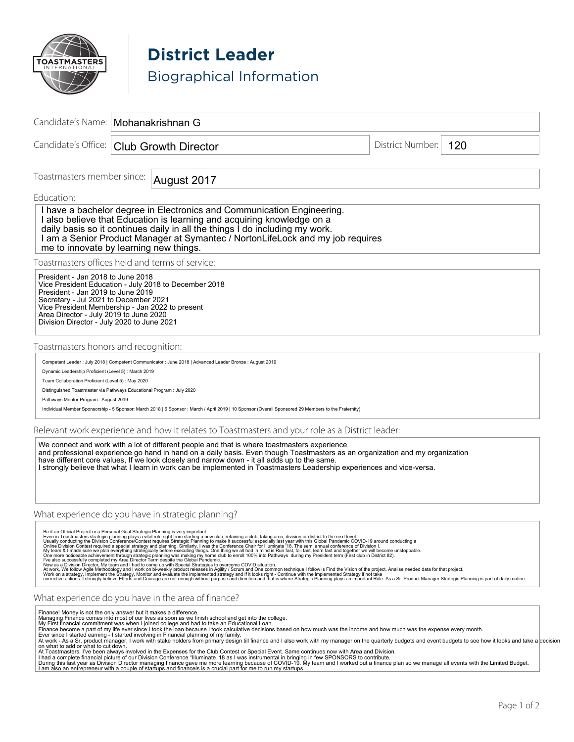

**District Leader** Biographical Information

|                                                                                                                                                                                                                                                                                                                                                                   | Candidate's Name:   Mohanakrishnan G |                                                                                                               |                                                                                                                                                                                                                                                                                                                                                                                                                                                                                                                                                                                                                                                                                                                                                                                                                                                                                                                                                  |  |                  |                                                                                                                                                                                                                   |
|-------------------------------------------------------------------------------------------------------------------------------------------------------------------------------------------------------------------------------------------------------------------------------------------------------------------------------------------------------------------|--------------------------------------|---------------------------------------------------------------------------------------------------------------|--------------------------------------------------------------------------------------------------------------------------------------------------------------------------------------------------------------------------------------------------------------------------------------------------------------------------------------------------------------------------------------------------------------------------------------------------------------------------------------------------------------------------------------------------------------------------------------------------------------------------------------------------------------------------------------------------------------------------------------------------------------------------------------------------------------------------------------------------------------------------------------------------------------------------------------------------|--|------------------|-------------------------------------------------------------------------------------------------------------------------------------------------------------------------------------------------------------------|
| Candidate's Office:                                                                                                                                                                                                                                                                                                                                               |                                      | <b>Club Growth Director</b>                                                                                   |                                                                                                                                                                                                                                                                                                                                                                                                                                                                                                                                                                                                                                                                                                                                                                                                                                                                                                                                                  |  | District Number: | 120                                                                                                                                                                                                               |
| Toastmasters member since:                                                                                                                                                                                                                                                                                                                                        |                                      | August 2017                                                                                                   |                                                                                                                                                                                                                                                                                                                                                                                                                                                                                                                                                                                                                                                                                                                                                                                                                                                                                                                                                  |  |                  |                                                                                                                                                                                                                   |
| Education:                                                                                                                                                                                                                                                                                                                                                        |                                      |                                                                                                               |                                                                                                                                                                                                                                                                                                                                                                                                                                                                                                                                                                                                                                                                                                                                                                                                                                                                                                                                                  |  |                  |                                                                                                                                                                                                                   |
| me to innovate by learning new things.                                                                                                                                                                                                                                                                                                                            |                                      |                                                                                                               | I have a bachelor degree in Electronics and Communication Engineering.<br>I also believe that Education is learning and acquiring knowledge on a<br>daily basis so it continues daily in all the things I do including my work.<br>I am a Senior Product Manager at Symantec / Norton Life Lock and my job requires                                                                                                                                                                                                                                                                                                                                                                                                                                                                                                                                                                                                                              |  |                  |                                                                                                                                                                                                                   |
| Toastmasters offices held and terms of service:                                                                                                                                                                                                                                                                                                                   |                                      |                                                                                                               |                                                                                                                                                                                                                                                                                                                                                                                                                                                                                                                                                                                                                                                                                                                                                                                                                                                                                                                                                  |  |                  |                                                                                                                                                                                                                   |
| President - Jan 2018 to June 2018<br>Vice President Education - July 2018 to December 2018<br>President - Jan 2019 to June 2019<br>Secretary - Jul 2021 to December 2021<br>Vice President Membership - Jan 2022 to present<br>Area Director - July 2019 to June 2020<br>Division Director - July 2020 to June 2021                                               |                                      |                                                                                                               |                                                                                                                                                                                                                                                                                                                                                                                                                                                                                                                                                                                                                                                                                                                                                                                                                                                                                                                                                  |  |                  |                                                                                                                                                                                                                   |
| Toastmasters honors and recognition:                                                                                                                                                                                                                                                                                                                              |                                      |                                                                                                               |                                                                                                                                                                                                                                                                                                                                                                                                                                                                                                                                                                                                                                                                                                                                                                                                                                                                                                                                                  |  |                  |                                                                                                                                                                                                                   |
|                                                                                                                                                                                                                                                                                                                                                                   |                                      | Competent Leader : July 2018   Competent Communicator : June 2018   Advanced Leader Bronze : August 2019      |                                                                                                                                                                                                                                                                                                                                                                                                                                                                                                                                                                                                                                                                                                                                                                                                                                                                                                                                                  |  |                  |                                                                                                                                                                                                                   |
| Dynamic Leadership Proficient (Level 5) : March 2019<br>Team Collaboration Proficient (Level 5) : May 2020                                                                                                                                                                                                                                                        |                                      |                                                                                                               |                                                                                                                                                                                                                                                                                                                                                                                                                                                                                                                                                                                                                                                                                                                                                                                                                                                                                                                                                  |  |                  |                                                                                                                                                                                                                   |
| Distinguished Toastmaster via Pathways Educational Program : July 2020                                                                                                                                                                                                                                                                                            |                                      |                                                                                                               |                                                                                                                                                                                                                                                                                                                                                                                                                                                                                                                                                                                                                                                                                                                                                                                                                                                                                                                                                  |  |                  |                                                                                                                                                                                                                   |
| Pathways Mentor Program: August 2019                                                                                                                                                                                                                                                                                                                              |                                      |                                                                                                               | Individual Member Sponsorship - 5 Sponsor: March 2018   5 Sponsor : March / April 2019   10 Sponsor (Overall Sponsored 29 Members to the Fraternity)                                                                                                                                                                                                                                                                                                                                                                                                                                                                                                                                                                                                                                                                                                                                                                                             |  |                  |                                                                                                                                                                                                                   |
|                                                                                                                                                                                                                                                                                                                                                                   |                                      |                                                                                                               | Relevant work experience and how it relates to Toastmasters and your role as a District leader:                                                                                                                                                                                                                                                                                                                                                                                                                                                                                                                                                                                                                                                                                                                                                                                                                                                  |  |                  |                                                                                                                                                                                                                   |
|                                                                                                                                                                                                                                                                                                                                                                   |                                      |                                                                                                               | We connect and work with a lot of different people and that is where toastmasters experience<br>and professional experience go hand in hand on a daily basis. Even though Toastmasters as an organization and my organization<br>have different core values, If we look closely and narrow down - it all adds up to the same.<br>I strongly believe that what I learn in work can be implemented in Toastmasters Leadership experiences and vice-versa.                                                                                                                                                                                                                                                                                                                                                                                                                                                                                          |  |                  |                                                                                                                                                                                                                   |
| What experience do you have in strategic planning?                                                                                                                                                                                                                                                                                                                |                                      |                                                                                                               |                                                                                                                                                                                                                                                                                                                                                                                                                                                                                                                                                                                                                                                                                                                                                                                                                                                                                                                                                  |  |                  |                                                                                                                                                                                                                   |
|                                                                                                                                                                                                                                                                                                                                                                   |                                      | Now as a Division Director, My team and I had to come up with Special Strategies to overcome COVID situation. | Be it an Official Project or a Personal Goal Strategic Planning is very important.<br>Even in Toastmasters strategic planning plays a vital role right from starting a club, taking area, division or district to the next level.<br>Online Division Contest required a special strategy and planning. Similarly, I was the Conference Chair for Illuminate 18, The semi annual conference of Division I.<br>My team & I made sure we plan everything strategically be<br>One more noticeable achievement through strategic planning was making my home club to enroll 100% into Pathways during my President term (First club in District 82).<br>I've also successfully completed my Area Director Term d<br>At work, We follow Agile Methodology and I work on bi-weekly product releases in Agility / Scrum and One common technique I follow is Find the Vision of the project, Analise needed data for that project,<br>Work on a strategy |  |                  |                                                                                                                                                                                                                   |
| What experience do you have in the area of finance?                                                                                                                                                                                                                                                                                                               |                                      |                                                                                                               |                                                                                                                                                                                                                                                                                                                                                                                                                                                                                                                                                                                                                                                                                                                                                                                                                                                                                                                                                  |  |                  |                                                                                                                                                                                                                   |
| Finance! Money is not the only answer but it makes a difference.<br>Managing Finance comes into most of our lives as soon as we finish school and get into the college.<br>My First financial commitment was when I joined college and had to take an Educational Loan.<br>Ever since I started earning - I started involving in Financial planning of my family. |                                      |                                                                                                               | Finance become a part of my life ever since I took the loan because I took calculative decisions based on how much was the income and how much was the expense every month.                                                                                                                                                                                                                                                                                                                                                                                                                                                                                                                                                                                                                                                                                                                                                                      |  |                  | At work - As a Sr. product manager, I work with stake holders from primary design till finance and I also work with my manager on the quarterly budgets and event budgets to see how it looks and take a decision |

on what to add or what to cut down.<br>At Toastmasters, I've been always involved in the Expenses for the Club Contest or Special Event. Same continues now with Area and Division.<br>I had a complete financial picture of our Div